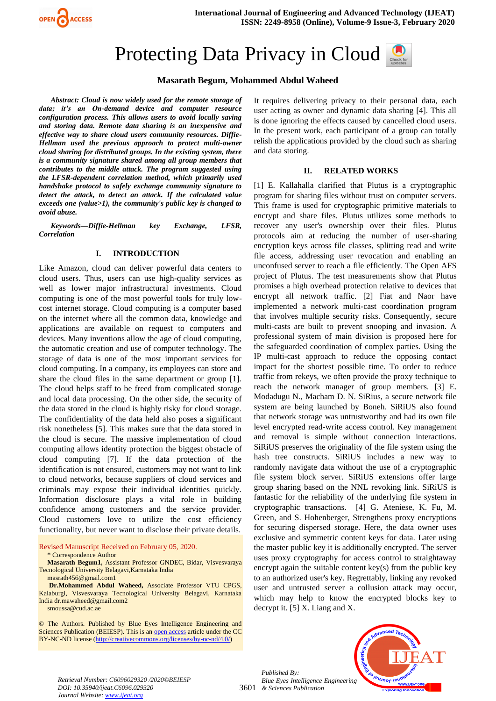

# Protecting Data Privacy in Cloud



## **Masarath Begum, Mohammed Abdul Waheed**

*Abstract: Cloud is now widely used for the remote storage of data; it's an On-demand device and computer resource configuration process. This allows users to avoid locally saving and storing data. Remote data sharing is an inexpensive and effective way to share cloud users community resources. Diffie-Hellman used the previous approach to protect multi-owner cloud sharing for distributed groups. In the existing system, there is a community signature shared among all group members that contributes to the middle attack. The program suggested using the LFSR-dependent correlation method, which primarily used handshake protocol to safely exchange community signature to detect the attack, to detect an attack. If the calculated value exceeds one (value>1), the community's public key is changed to avoid abuse.*

*Keywords—Diffie-Hellman key Exchange, LFSR, Correlation*

#### **I. INTRODUCTION**

Like Amazon, cloud can deliver powerful data centers to cloud users. Thus, users can use high-quality services as well as lower major infrastructural investments. Cloud computing is one of the most powerful tools for truly lowcost internet storage. Cloud computing is a computer based on the internet where all the common data, knowledge and applications are available on request to computers and devices. Many inventions allow the age of cloud computing, the automatic creation and use of computer technology. The storage of data is one of the most important services for cloud computing. In a company, its employees can store and share the cloud files in the same department or group [1]. The cloud helps staff to be freed from complicated storage and local data processing. On the other side, the security of the data stored in the cloud is highly risky for cloud storage. The confidentiality of the data held also poses a significant risk nonetheless [5]. This makes sure that the data stored in the cloud is secure. The massive implementation of cloud computing allows identity protection the biggest obstacle of cloud computing [7]. If the data protection of the identification is not ensured, customers may not want to link to cloud networks, because suppliers of cloud services and criminals may expose their individual identities quickly. Information disclosure plays a vital role in building confidence among customers and the service provider. Cloud customers love to utilize the cost efficiency functionality, but never want to disclose their private details.

Revised Manuscript Received on February 05, 2020.

\* Correspondence Author

**Masarath Begum1,** Assistant Professor GNDEC, Bidar, Visvesvaraya Tecnological University Belagavi,Karnataka India

[masrath456@gmail.com1](mailto:masrath456@gmail.com1)

**Dr.Mohammed Abdul Waheed,** Associate Professor VTU CPGS, Kalaburgi, Visvesvaraya Tecnological University Belagavi, Karnataka Indi[a dr.mawaheed@gmail.com2](mailto:dr.mawaheed@gmail.com2) [smoussa@cud.ac.ae](mailto:smoussa@cud.ac.ae)

© The Authors. Published by Blue Eyes Intelligence Engineering and Sciences Publication (BEIESP). This is a[n open access](https://www.openaccess.nl/en/open-publications) article under the CC BY-NC-ND license [\(http://creativecommons.org/licenses/by-nc-nd/4.0/\)](http://creativecommons.org/licenses/by-nc-nd/4.0/)

It requires delivering privacy to their personal data, each user acting as owner and dynamic data sharing [4]. This all is done ignoring the effects caused by cancelled cloud users. In the present work, each participant of a group can totally relish the applications provided by the cloud such as sharing and data storing.

#### **II. RELATED WORKS**

[1] E. Kallahalla clarified that Plutus is a cryptographic program for sharing files without trust on computer servers. This frame is used for cryptographic primitive materials to encrypt and share files. Plutus utilizes some methods to recover any user's ownership over their files. Plutus protocols aim at reducing the number of user-sharing encryption keys across file classes, splitting read and write file access, addressing user revocation and enabling an unconfused server to reach a file efficiently. The Open AFS project of Plutus. The test measurements show that Plutus promises a high overhead protection relative to devices that encrypt all network traffic. [2] Fiat and Naor have implemented a network multi-cast coordination program that involves multiple security risks. Consequently, secure multi-casts are built to prevent snooping and invasion. A professional system of main division is proposed here for the safeguarded coordination of complex parties. Using the IP multi-cast approach to reduce the opposing contact impact for the shortest possible time. To order to reduce traffic from rekeys, we often provide the proxy technique to reach the network manager of group members. [3] E. Modadugu N., Macham D. N. SiRius, a secure network file system are being launched by Boneh. SiRiUS also found that network storage was untrustworthy and had its own file level encrypted read-write access control. Key management and removal is simple without connection interactions. SiRiUS preserves the originality of the file system using the hash tree constructs. SiRiUS includes a new way to randomly navigate data without the use of a cryptographic file system block server. SiRiUS extensions offer large group sharing based on the NNL revoking link. SiRiUS is fantastic for the reliability of the underlying file system in cryptographic transactions. [4] G. Ateniese, K. Fu, M. Green, and S. Hohenberger, Strengthens proxy encryptions for securing dispersed storage. Here, the data owner uses exclusive and symmetric content keys for data. Later using the master public key it is additionally encrypted. The server uses proxy cryptography for access control to straightaway encrypt again the suitable content key(s) from the public key to an authorized user's key. Regrettably, linking any revoked user and untrusted server a collusion attack may occur, which may help to know the encrypted blocks key to decrypt it. [5] X. Liang and X.

3601 *& Sciences Publication Published By: Blue Eyes Intelligence Engineering* 



*Retrieval Number: C6096029320 /2020©BEIESP DOI: 10.35940/ijeat.C6096.029320 Journal Website[: www.ijeat.org](http://www.ijeat.org/)*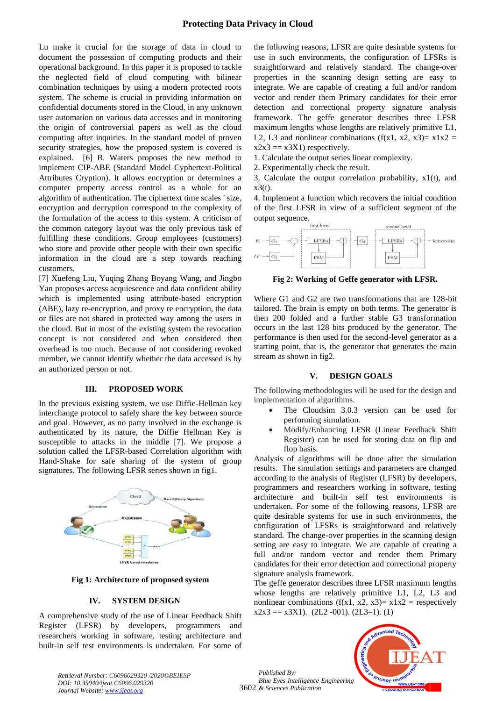Lu make it crucial for the storage of data in cloud to document the possession of computing products and their operational background. In this paper it is proposed to tackle the neglected field of cloud computing with bilinear combination techniques by using a modern protected roots system. The scheme is crucial in providing information on confidential documents stored in the Cloud, in any unknown user automation on various data accesses and in monitoring the origin of controversial papers as well as the cloud computing after inquiries. In the standard model of proven security strategies, how the proposed system is covered is explained. [6] B. Waters proposes the new method to implement CIP-ABE (Standard Model Cyphertext-Political Attributes Cryption). It allows encryption or determines a computer property access control as a whole for an algorithm of authentication. The ciphertext time scales ' size, encryption and decryption correspond to the complexity of the formulation of the access to this system. A criticism of the common category layout was the only previous task of fulfilling these conditions. Group employees (customers) who store and provide other people with their own specific information in the cloud are a step towards reaching customers.

[7] Xuefeng Liu, Yuqing Zhang Boyang Wang, and Jingbo Yan proposes access acquiescence and data confident ability which is implemented using attribute-based encryption (ABE), lazy re-encryption, and proxy re encryption, the data or files are not shared in protected way among the users in the cloud. But in most of the existing system the revocation concept is not considered and when considered then overhead is too much. Because of not considering revoked member, we cannot identify whether the data accessed is by an authorized person or not.

## **III. PROPOSED WORK**

In the previous existing system, we use Diffie-Hellman key interchange protocol to safely share the key between source and goal. However, as no party involved in the exchange is authenticated by its nature, the Diffie Hellman Key is susceptible to attacks in the middle [7]. We propose a solution called the LFSR-based Correlation algorithm with Hand-Shake for safe sharing of the system of group signatures. The following LFSR series shown in fig1.



**Fig 1: Architecture of proposed system**

## **IV. SYSTEM DESIGN**

A comprehensive study of the use of Linear Feedback Shift Register (LFSR) by developers, programmers researchers working in software, testing architecture and built-in self test environments is undertaken. For some of the following reasons, LFSR are quite desirable systems for use in such environments, the configuration of LFSRs is straightforward and relatively standard. The change-over properties in the scanning design setting are easy to integrate. We are capable of creating a full and/or random vector and render them Primary candidates for their error detection and correctional property signature analysis framework. The geffe generator describes three LFSR maximum lengths whose lengths are relatively primitive L1, L2, L3 and nonlinear combinations ( $f(x1, x2, x3) = x1x2 =$  $x2x3 == x3X1$ ) respectively.

1. Calculate the output series linear complexity.

2. Experimentally check the result.

3. Calculate the output correlation probability,  $x1(t)$ , and  $x3(t)$ .

4. Implement a function which recovers the initial condition of the first LFSR in view of a sufficient segment of the output sequence.



**Fig 2: Working of Geffe generator with LFSR.**

Where G1 and G2 are two transformations that are 128-bit tailored. The brain is empty on both terms. The generator is then 200 folded and a further stable G3 transformation occurs in the last 128 bits produced by the generator. The performance is then used for the second-level generator as a starting point, that is, the generator that generates the main stream as shown in fig2.

## **V. DESIGN GOALS**

The following methodologies will be used for the design and implementation of algorithms.

- The Cloudsim 3.0.3 version can be used for performing simulation.
- Modify/Enhancing LFSR (Linear Feedback Shift Register) can be used for storing data on flip and flop basis.

Analysis of algorithms will be done after the simulation results. The simulation settings and parameters are changed according to the analysis of Register (LFSR) by developers, programmers and researchers working in software, testing architecture and built-in self test environments is undertaken. For some of the following reasons, LFSR are quite desirable systems for use in such environments, the configuration of LFSRs is straightforward and relatively standard. The change-over properties in the scanning design setting are easy to integrate. We are capable of creating a full and/or random vector and render them Primary candidates for their error detection and correctional property signature analysis framework.

The geffe generator describes three LFSR maximum lengths whose lengths are relatively primitive L1, L2, L3 and nonlinear combinations (f(x1, x2, x3)=  $x1x2$  = respectively  $x2x3 = x3X1$ . (2L2 -001). (2L3-1). (1)

3602 *& Sciences Publication Published By: Blue Eyes Intelligence Engineering* 



*Retrieval Number: C6096029320 /2020©BEIESP DOI: 10.35940/ijeat.C6096.029320 Journal Website[: www.ijeat.org](http://www.ijeat.org/)*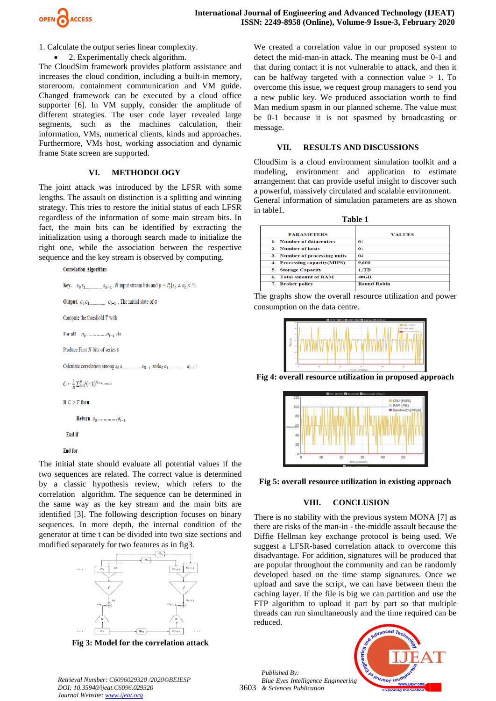

1. Calculate the output series linear complexity.

2. Experimentally check algorithm.

The CloudSim framework provides platform assistance and increases the cloud condition, including a built-in memory, storeroom, containment communication and VM guide. Changed framework can be executed by a cloud office supporter [6]. In VM supply, consider the amplitude of different strategies. The user code layer revealed large segments, such as the machines calculation, their information, VMs, numerical clients, kinds and approaches. Furthermore, VMs host, working association and dynamic frame State screen are supported.

#### **VI. METHODOLOGY**

The joint attack was introduced by the LFSR with some lengths. The assault on distinction is a splitting and winning strategy. This tries to restore the initial status of each LFSR regardless of the information of some main stream bits. In fact, the main bits can be identified by extracting the initialization using a thorough search made to initialize the right one, while the association between the respective sequence and the key stream is observed by computing.

**Correlation Algorithm** 

```
Key. s_0 s_1 s_{N-1}, N input stream bits and p = P_r[s_t \neq \sigma_t] < \frac{1}{2}.
Output. \sigma_0 \sigma_1<sub>m</sub> \sigma_{l-1}, The initial state of \sigma</sub>
Compute the threshold T with
For all \sigma_0, ... ... ... ... \sigma_{l-1} do
Produce First N bits of series \sigmaCalculate correlation among s_0 s_1 s_{N-1} and \sigma_0 \sigma_1 \sigma_2 \sigma_3C \leftarrow \frac{1}{w} \sum_{t=0}^{N-1} (-1)^{5t+u_t} mod2
If C > T then
          Return \sigma_0, ... ... ... ... \sigma_{l-1}End if
```
**End** for

The initial state should evaluate all potential values if the two sequences are related. The correct value is determined by a classic hypothesis review, which refers to the correlation algorithm. The sequence can be determined in the same way as the key stream and the main bits are identified [3]. The following description focuses on binary sequences. In more depth, the internal condition of the generator at time t can be divided into two size sections and modified separately for two features as in fig3.



**Fig 3: Model for the correlation attack**

We created a correlation value in our proposed system to detect the mid-man-in attack. The meaning must be 0-1 and that during contact it is not vulnerable to attack, and then it can be halfway targeted with a connection value  $> 1$ . To overcome this issue, we request group managers to send you a new public key. We produced association worth to find Man medium spasm in our planned scheme. The value must be 0-1 because it is not spasmed by broadcasting or message.

### **VII. RESULTS AND DISCUSSIONS**

CloudSim is a cloud environment simulation toolkit and a modeling, environment and application to estimate arrangement that can provide useful insight to discover such a powerful, massively circulated and scalable environment. General information of simulation parameters are as shown in table1.

| Table 1                       |                    |
|-------------------------------|--------------------|
| <b>PARAMETERS</b>             | <b>VALUES</b>      |
| 1. Number of datacenters      | 01                 |
| 2. Number of hosts            | 01                 |
| 3. Number of processing units | 04                 |
| 4. Processing capacity(MIPS)  | 9,600              |
| <b>5. Storage Capacity</b>    | 11TB               |
| <b>6. Total amount of RAM</b> | $40$ GB            |
| <b>Broker policy</b><br>7.    | <b>Round Robin</b> |

The graphs show the overall resource utilization and power consumption on the data centre.



**Fig 4: overall resource utilization in proposed approach**



**Fig 5: overall resource utilization in existing approach**

## **VIII. CONCLUSION**

There is no stability with the previous system MONA [7] as there are risks of the man-in - the-middle assault because the Diffie Hellman key exchange protocol is being used. We suggest a LFSR-based correlation attack to overcome this disadvantage. For addition, signatures will be produced that are popular throughout the community and can be randomly developed based on the time stamp signatures. Once we upload and save the script, we can have between them the caching layer. If the file is big we can partition and use the FTP algorithm to upload it part by part so that multiple threads can run simultaneously and the time required can be reduced.

3603 *& Sciences Publication Published By: Blue Eyes Intelligence Engineering* 



*Retrieval Number: C6096029320 /2020©BEIESP DOI: 10.35940/ijeat.C6096.029320 Journal Website[: www.ijeat.org](http://www.ijeat.org/)*